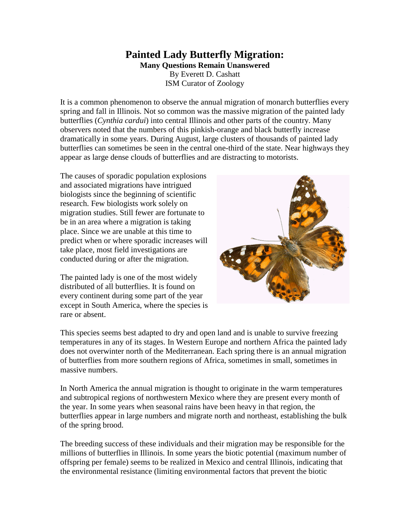## **Painted Lady Butterfly Migration: Many Questions Remain Unanswered**  By Everett D. Cashatt ISM Curator of Zoology

It is a common phenomenon to observe the annual migration of monarch butterflies every spring and fall in Illinois. Not so common was the massive migration of the painted lady butterflies (*Cynthia cardui*) into central Illinois and other parts of the country. Many observers noted that the numbers of this pinkish-orange and black butterfly increase dramatically in some years. During August, large clusters of thousands of painted lady butterflies can sometimes be seen in the central one-third of the state. Near highways they appear as large dense clouds of butterflies and are distracting to motorists.

The causes of sporadic population explosions and associated migrations have intrigued biologists since the beginning of scientific research. Few biologists work solely on migration studies. Still fewer are fortunate to be in an area where a migration is taking place. Since we are unable at this time to predict when or where sporadic increases will take place, most field investigations are conducted during or after the migration.

The painted lady is one of the most widely distributed of all butterflies. It is found on every continent during some part of the year except in South America, where the species is rare or absent.



This species seems best adapted to dry and open land and is unable to survive freezing temperatures in any of its stages. In Western Europe and northern Africa the painted lady does not overwinter north of the Mediterranean. Each spring there is an annual migration of butterflies from more southern regions of Africa, sometimes in small, sometimes in massive numbers.

In North America the annual migration is thought to originate in the warm temperatures and subtropical regions of northwestern Mexico where they are present every month of the year. In some years when seasonal rains have been heavy in that region, the butterflies appear in large numbers and migrate north and northeast, establishing the bulk of the spring brood.

The breeding success of these individuals and their migration may be responsible for the millions of butterflies in Illinois. In some years the biotic potential (maximum number of offspring per female) seems to be realized in Mexico and central Illinois, indicating that the environmental resistance (limiting environmental factors that prevent the biotic